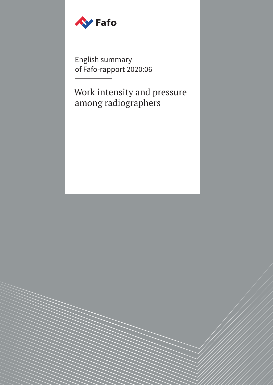

English summary of Fafo-rapport 2020:06

Work intensity and pressure among radiographers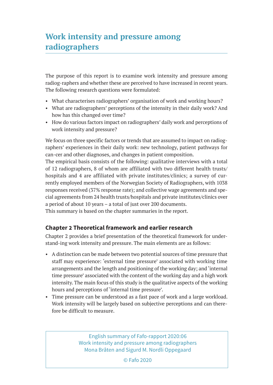# **Work intensity and pressure among radiographers**

The purpose of this report is to examine work intensity and pressure among radiog-raphers and whether these are perceived to have increased in recent years. The following research questions were formulated:

- What characterises radiographers' organisation of work and working hours?
- What are radiographers' perceptions of the intensity in their daily work? And how has this changed over time?
- How do various factors impact on radiographers' daily work and perceptions of work intensity and pressure?

We focus on three specific factors or trends that are assumed to impact on radiographers' experiences in their daily work: new technology, patient pathways for can-cer and other diagnoses, and changes in patient composition.

The empirical basis consists of the following: qualitative interviews with a total of 12 radiographers, 8 of whom are affiliated with two different health trusts/ hospitals and 4 are affiliated with private institutes/clinics; a survey of currently employed members of the Norwegian Society of Radiographers, with 1038 responses received (37% response rate); and collective wage agreements and special agreements from 24 health trusts/hospitals and private institutes/clinics over a period of about 10 years – a total of just over 200 documents.

This summary is based on the chapter summaries in the report.

# **Chapter 2 Theoretical framework and earlier research**

Chapter 2 provides a brief presentation of the theoretical framework for understand-ing work intensity and pressure. The main elements are as follows:

- A distinction can be made between two potential sources of time pressure that staff may experience: 'external time pressure' associated with working time arrangements and the length and positioning of the working day; and 'internal time pressure' associated with the content of the working day and a high work intensity. The main focus of this study is the qualitative aspects of the working hours and perceptions of 'internal time pressure'.
- Time pressure can be understood as a fast pace of work and a large workload. Work intensity will be largely based on subjective perceptions and can therefore be difficult to measure.

English summary of Fafo-rapport 2020:06 Work intensity and pressure among radiographers Mona Bråten and Sigurd M. Nordli Oppegaard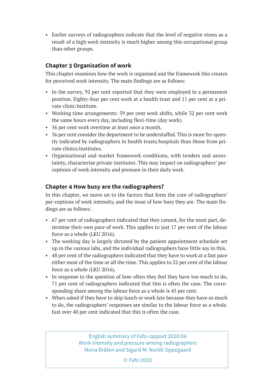• Earlier surveys of radiographers indicate that the level of negative stress as a result of a high work intensity is much higher among this occupational group than other groups.

## **Chapter 3 Organisation of work**

This chapter examines how the work is organised and the framework this creates for perceived work intensity. The main findings are as follows:

- In the survey, 92 per cent reported that they were employed in a permanent position. Eighty-four per cent work at a health trust and 11 per cent at a private clinic/institute.
- Working time arrangements: 59 per cent work shifts, while 32 per cent work the same hours every day, including flexi-time (day work).
- 56 per cent work overtime at least once a month.
- 36 per cent consider the department to be understaffed. This is more fre-quently indicated by radiographers in health trusts/hospitals than those from private clinics/institutes.
- Organisational and market framework conditions, with tenders and uncertainty, characterise private institutes. This may impact on radiographers' perceptions of work intensity and pressure in their daily work.

## **Chapter 4 How busy are the radiographers?**

In this chapter, we move on to the factors that form the core of radiographers' per-ceptions of work intensity, and the issue of how busy they are. The main findings are as follows:

- 67 per cent of radiographers indicated that they cannot, for the most part, determine their own pace of work. This applies to just 17 per cent of the labour force as a whole (LKU 2016).
- The working day is largely dictated by the patient appointment schedule set up in the various labs, and the individual radiographers have little say in this.
- 48 per cent of the radiographers indicated that they have to work at a fast pace either most of the time or all the time. This applies to 22 per cent of the labour force as a whole (LKU 2016).
- In response to the question of how often they feel they have too much to do, 71 per cent of radiographers indicated that this is often the case. The corresponding share among the labour force as a whole is 45 per cent.
- When asked if they have to skip lunch or work late because they have so much to do, the radiographers' responses are similar to the labour force as a whole. Just over 40 per cent indicated that this is often the case.

English summary of Fafo-rapport 2020:06 Work intensity and pressure among radiographers Mona Bråten and Sigurd M. Nordli Oppegaard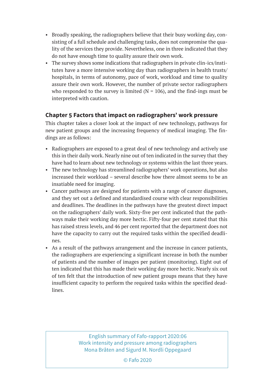- Broadly speaking, the radiographers believe that their busy working day, consisting of a full schedule and challenging tasks, does not compromise the quality of the services they provide. Nevertheless, one in three indicated that they do not have enough time to quality assure their own work.
- The survey shows some indications that radiographers in private clin-ics/institutes have a more intensive working day than radiographers in health trusts/ hospitals, in terms of autonomy, pace of work, workload and time to quality assure their own work. However, the number of private sector radiographers who responded to the survey is limited ( $N = 106$ ), and the find-ings must be interpreted with caution.

## **Chapter 5 Factors that impact on radiographers' work pressure**

This chapter takes a closer look at the impact of new technology, pathways for new patient groups and the increasing frequency of medical imaging. The findings are as follows:

- Radiographers are exposed to a great deal of new technology and actively use this in their daily work. Nearly nine out of ten indicated in the survey that they have had to learn about new technology or systems within the last three years.
- The new technology has streamlined radiographers' work operations, but also increased their workload – several describe how there almost seems to be an insatiable need for imaging.
- Cancer pathways are designed for patients with a range of cancer diagnoses, and they set out a defined and standardised course with clear responsibilities and deadlines. The deadlines in the pathways have the greatest direct impact on the radiographers' daily work. Sixty-five per cent indicated that the pathways make their working day more hectic. Fifty-four per cent stated that this has raised stress levels, and 46 per cent reported that the department does not have the capacity to carry out the required tasks within the specified deadlines.
- As a result of the pathways arrangement and the increase in cancer patients, the radiographers are experiencing a significant increase in both the number of patients and the number of images per patient (monitoring). Eight out of ten indicated that this has made their working day more hectic. Nearly six out of ten felt that the introduction of new patient groups means that they have insufficient capacity to perform the required tasks within the specified deadlines.

#### English summary of Fafo-rapport 2020:06 Work intensity and pressure among radiographers Mona Bråten and Sigurd M. Nordli Oppegaard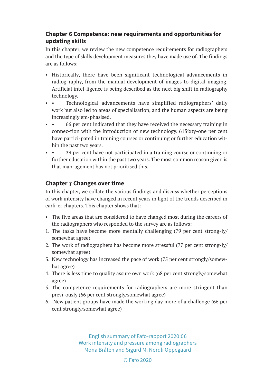# **Chapter 6 Competence: new requirements and opportunities for updating skills**

In this chapter, we review the new competence requirements for radiographers and the type of skills development measures they have made use of. The findings are as follows:

- Historically, there have been significant technological advancements in radiog-raphy, from the manual development of images to digital imaging. Artificial intel-ligence is being described as the next big shift in radiography technology.
- Technological advancements have simplified radiographers' daily work but also led to areas of specialisation, and the human aspects are being increasingly em-phasised.
- • 66 per cent indicated that they have received the necessary training in connec-tion with the introduction of new technology. 61Sixty-one per cent have partici-pated in training courses or continuing or further education within the past two years.
- • 39 per cent have not participated in a training course or continuing or further education within the past two years. The most common reason given is that man-agement has not prioritised this.

# **Chapter 7 Changes over time**

In this chapter, we collate the various findings and discuss whether perceptions of work intensity have changed in recent years in light of the trends described in earli-er chapters. This chapter shows that:

- The five areas that are considered to have changed most during the careers of the radiographers who responded to the survey are as follows:
- 1. The tasks have become more mentally challenging (79 per cent strong-ly/ somewhat agree)
- 2. The work of radiographers has become more stressful (77 per cent strong-ly/ somewhat agree)
- 3. New technology has increased the pace of work (75 per cent strongly/somewhat agree)
- 4. There is less time to quality assure own work (68 per cent strongly/somewhat agree)
- 5. The competence requirements for radiographers are more stringent than previ-ously (66 per cent strongly/somewhat agree)
- 6. New patient groups have made the working day more of a challenge (66 per cent strongly/somewhat agree)

English summary of Fafo-rapport 2020:06 Work intensity and pressure among radiographers Mona Bråten and Sigurd M. Nordli Oppegaard